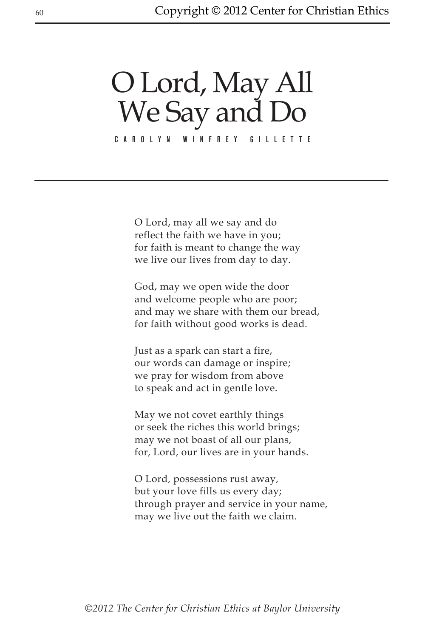## O Lord, May All We Say and Do

Carolyn Winfrey Gillette

O Lord, may all we say and do reflect the faith we have in you; for faith is meant to change the way we live our lives from day to day.

God, may we open wide the door and welcome people who are poor; and may we share with them our bread, for faith without good works is dead.

Just as a spark can start a fire, our words can damage or inspire; we pray for wisdom from above to speak and act in gentle love.

May we not covet earthly things or seek the riches this world brings; may we not boast of all our plans, for, Lord, our lives are in your hands.

O Lord, possessions rust away, but your love fills us every day; through prayer and service in your name, may we live out the faith we claim.